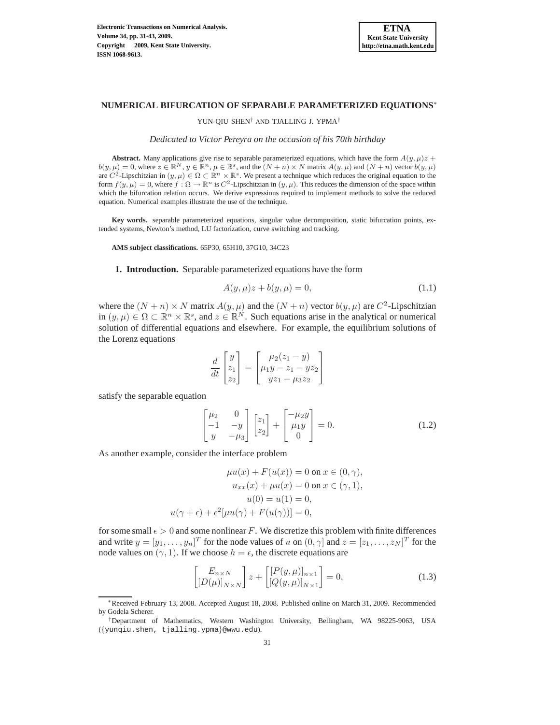

# **NUMERICAL BIFURCATION OF SEPARABLE PARAMETERIZED EQUATIONS**<sup>∗</sup>

YUN-QIU SHEN† AND TJALLING J. YPMA†

*Dedicated to V´ıctor Pereyra on the occasion of his 70th birthday*

**Abstract.** Many applications give rise to separable parameterized equations, which have the form  $A(y, \mu)z$  +  $b(y,\mu) = 0$ , where  $z \in \mathbb{R}^N$ ,  $y \in \mathbb{R}^n$ ,  $\mu \in \mathbb{R}^s$ , and the  $(N+n) \times N$  matrix  $A(y,\mu)$  and  $(N+n)$  vector  $b(y,\mu)$ are  $C^2$ -Lipschitzian in  $(y, \mu) \in \Omega \subset \mathbb{R}^n \times \mathbb{R}^s$ . We present a technique which reduces the original equation to the form  $f(y, \mu) = 0$ , where  $f : \Omega \to \mathbb{R}^n$  is  $C^2$ -Lipschitzian in  $(y, \mu)$ . This reduces the dimension of the space within which the bifurcation relation occurs. We derive expressions required to implement methods to solve the reduced equation. Numerical examples illustrate the use of the technique.

**Key words.** separable parameterized equations, singular value decomposition, static bifurcation points, extended systems, Newton's method, LU factorization, curve switching and tracking.

**AMS subject classifications.** 65P30, 65H10, 37G10, 34C23

### **1. Introduction.** Separable parameterized equations have the form

<span id="page-0-0"></span>
$$
A(y, \mu)z + b(y, \mu) = 0,\t(1.1)
$$

where the  $(N + n) \times N$  matrix  $A(y, \mu)$  and the  $(N + n)$  vector  $b(y, \mu)$  are  $C^2$ -Lipschitzian in  $(y, \mu) \in \Omega \subset \mathbb{R}^n \times \mathbb{R}^s$ , and  $z \in \mathbb{R}^N$ . Such equations arise in the analytical or numerical solution of differential equations and elsewhere. For example, the equilibrium solutions of the Lorenz equations

$$
\frac{d}{dt} \begin{bmatrix} y \\ z_1 \\ z_2 \end{bmatrix} = \begin{bmatrix} \mu_2 (z_1 - y) \\ \mu_1 y - z_1 - y z_2 \\ y z_1 - \mu_3 z_2 \end{bmatrix}
$$

satisfy the separable equation

<span id="page-0-1"></span>
$$
\begin{bmatrix} \mu_2 & 0 \\ -1 & -y \\ y & -\mu_3 \end{bmatrix} \begin{bmatrix} z_1 \\ z_2 \end{bmatrix} + \begin{bmatrix} -\mu_2 y \\ \mu_1 y \\ 0 \end{bmatrix} = 0.
$$
 (1.2)

As another example, consider the interface problem

$$
\mu u(x) + F(u(x)) = 0 \text{ on } x \in (0, \gamma),
$$

$$
u_{xx}(x) + \mu u(x) = 0 \text{ on } x \in (\gamma, 1),
$$

$$
u(0) = u(1) = 0,
$$

$$
u(\gamma + \epsilon) + \epsilon^2 [\mu u(\gamma) + F(u(\gamma))] = 0,
$$

for some small  $\epsilon > 0$  and some nonlinear F. We discretize this problem with finite differences and write  $y = [y_1, \dots, y_n]^T$  for the node values of u on  $(0, \gamma]$  and  $z = [z_1, \dots, z_N]^T$  for the node values on  $(\gamma, 1)$ . If we choose  $h = \epsilon$ , the discrete equations are

<span id="page-0-2"></span>
$$
\begin{bmatrix} E_{n\times N} \\ \left[D(\mu)\right]_{N\times N} \end{bmatrix} z + \begin{bmatrix} [P(y,\mu)]_{n\times 1} \\ \left[Q(y,\mu)\right]_{N\times 1} \end{bmatrix} = 0, \tag{1.3}
$$

<sup>∗</sup>Received February 13, 2008. Accepted August 18, 2008. Published online on March 31, 2009. Recommended by Godela Scherer.

<sup>†</sup>Department of Mathematics, Western Washington University, Bellingham, WA 98225-9063, USA ({yunqiu.shen, tjalling.ypma}@wwu.edu).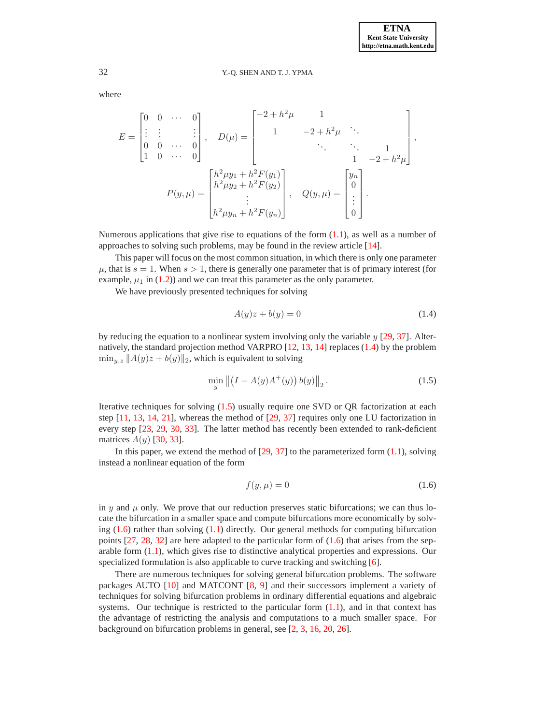where

$$
E = \begin{bmatrix} 0 & 0 & \cdots & 0 \\ \vdots & \vdots & & \vdots \\ 0 & 0 & \cdots & 0 \\ 1 & 0 & \cdots & 0 \end{bmatrix}, \quad D(\mu) = \begin{bmatrix} -2 + h^2 \mu & 1 & & & \\ & 1 & -2 + h^2 \mu & \ddots & & \\ & & \ddots & \ddots & 1 & \\ & & & 1 & -2 + h^2 \mu \end{bmatrix},
$$

$$
P(y, \mu) = \begin{bmatrix} h^2 \mu y_1 + h^2 F(y_1) \\ h^2 \mu y_2 + h^2 F(y_2) \\ \vdots \\ h^2 \mu y_n + h^2 F(y_n) \end{bmatrix}, \quad Q(y, \mu) = \begin{bmatrix} y_n \\ 0 \\ \vdots \\ 0 \end{bmatrix}.
$$

Numerous applications that give rise to equations of the form  $(1.1)$ , as well as a number of approaches to solving such problems, may be found in the review article [\[14\]](#page-12-0).

This paper will focus on the most common situation, in which there is only one parameter  $\mu$ , that is  $s = 1$ . When  $s > 1$ , there is generally one parameter that is of primary interest (for example,  $\mu_1$  in [\(1.2\)](#page-0-1)) and we can treat this parameter as the only parameter.

We have previously presented techniques for solving

<span id="page-1-0"></span>
$$
A(y)z + b(y) = 0\tag{1.4}
$$

by reducing the equation to a nonlinear system involving only the variable  $y$  [\[29,](#page-12-1) [37\]](#page-12-2). Alternatively, the standard projection method VARPRO [\[12,](#page-12-3) [13,](#page-12-4) [14\]](#page-12-0) replaces [\(1.4\)](#page-1-0) by the problem  $\min_{y,z} ||A(y)z + b(y)||_2$ , which is equivalent to solving

<span id="page-1-1"></span>
$$
\min_{y} \left\| \left(I - A(y)A^{+}(y)\right)b(y)\right\|_{2}.
$$
\n(1.5)

Iterative techniques for solving [\(1.5\)](#page-1-1) usually require one SVD or QR factorization at each step  $[11, 13, 14, 21]$  $[11, 13, 14, 21]$  $[11, 13, 14, 21]$  $[11, 13, 14, 21]$  $[11, 13, 14, 21]$  $[11, 13, 14, 21]$ , whereas the method of  $[29, 37]$  $[29, 37]$  requires only one LU factorization in every step [\[23,](#page-12-7) [29,](#page-12-1) [30,](#page-12-8) [33\]](#page-12-9). The latter method has recently been extended to rank-deficient matrices  $A(y)$  [\[30,](#page-12-8) [33\]](#page-12-9).

In this paper, we extend the method of  $[29, 37]$  $[29, 37]$  to the parameterized form  $(1.1)$ , solving instead a nonlinear equation of the form

<span id="page-1-2"></span>
$$
f(y,\mu) = 0\tag{1.6}
$$

in  $y$  and  $\mu$  only. We prove that our reduction preserves static bifurcations; we can thus locate the bifurcation in a smaller space and compute bifurcations more economically by solving  $(1.6)$  rather than solving  $(1.1)$  directly. Our general methods for computing bifurcation points  $[27, 28, 32]$  $[27, 28, 32]$  $[27, 28, 32]$  $[27, 28, 32]$  $[27, 28, 32]$  are here adapted to the particular form of  $(1.6)$  that arises from the separable form  $(1.1)$ , which gives rise to distinctive analytical properties and expressions. Our specialized formulation is also applicable to curve tracking and switching [\[6\]](#page-11-0).

There are numerous techniques for solving general bifurcation problems. The software packages AUTO [\[10\]](#page-12-13) and MATCONT [\[8,](#page-11-1) [9\]](#page-11-2) and their successors implement a variety of techniques for solving bifurcation problems in ordinary differential equations and algebraic systems. Our technique is restricted to the particular form  $(1.1)$ , and in that context has the advantage of restricting the analysis and computations to a much smaller space. For background on bifurcation problems in general, see [\[2,](#page-11-3) [3,](#page-11-4) [16,](#page-12-14) [20,](#page-12-15) [26\]](#page-12-16).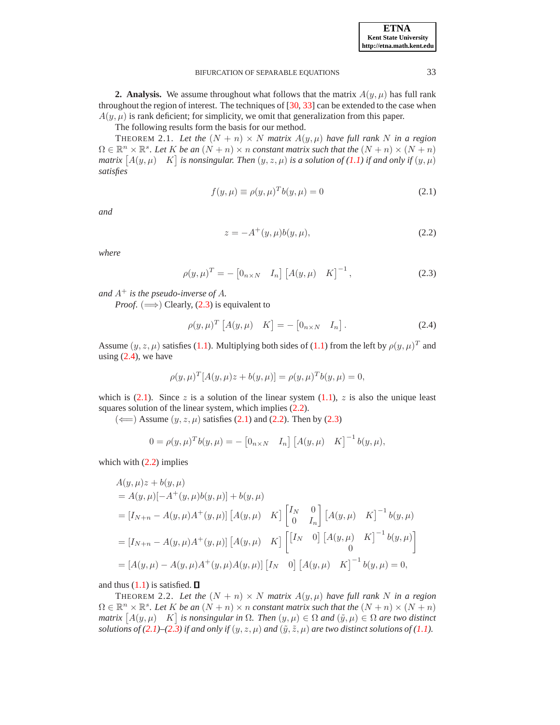| <b>ETNA</b>                  |
|------------------------------|
| <b>Kent State University</b> |
| http://etna.math.kent.edu    |

**2. Analysis.** We assume throughout what follows that the matrix  $A(y, \mu)$  has full rank throughout the region of interest. The techniques of [\[30,](#page-12-8) [33\]](#page-12-9) can be extended to the case when  $A(y, \mu)$  is rank deficient; for simplicity, we omit that generalization from this paper.

The following results form the basis for our method.

<span id="page-2-5"></span>THEOREM 2.1. Let the  $(N + n) \times N$  matrix  $A(y, \mu)$  have full rank N in a region  $\Omega \in \mathbb{R}^n \times \mathbb{R}^s$ . Let K be an  $(N + n) \times n$  constant matrix such that the  $(N + n) \times (N + n)$  $matrix [A(y, \mu) \quad K]$  *is nonsingular. Then*  $(y, z, \mu)$  *is a solution of* [\(1.1\)](#page-0-0) *if and only if*  $(y, \mu)$ *satisfies*

<span id="page-2-2"></span>
$$
f(y,\mu) \equiv \rho(y,\mu)^T b(y,\mu) = 0 \tag{2.1}
$$

*and*

<span id="page-2-3"></span>
$$
z = -A^{+}(y, \mu)b(y, \mu),
$$
\n(2.2)

*where*

<span id="page-2-0"></span>
$$
\rho(y,\mu)^{T} = -\begin{bmatrix} 0_{n \times N} & I_{n} \end{bmatrix} \begin{bmatrix} A(y,\mu) & K \end{bmatrix}^{-1},
$$
\n(2.3)

*and*  $A^+$  *is the pseudo-inverse of*  $A$ *.* 

*Proof.* ( $\implies$ ) Clearly, [\(2.3\)](#page-2-0) is equivalent to

<span id="page-2-1"></span>
$$
\rho(y,\mu)^T \begin{bmatrix} A(y,\mu) & K \end{bmatrix} = - \begin{bmatrix} 0_{n \times N} & I_n \end{bmatrix}.
$$
 (2.4)

Assume  $(y, z, \mu)$  satisfies [\(1.1\)](#page-0-0). Multiplying both sides of [\(1.1\)](#page-0-0) from the left by  $\rho(y, \mu)^T$  and using  $(2.4)$ , we have

$$
\rho(y,\mu)^{T} [A(y,\mu)z + b(y,\mu)] = \rho(y,\mu)^{T} b(y,\mu) = 0,
$$

which is  $(2.1)$ . Since z is a solution of the linear system  $(1.1)$ , z is also the unique least squares solution of the linear system, which implies  $(2.2)$ .

 $(\Leftarrow)$  Assume  $(y, z, \mu)$  satisfies [\(2.1\)](#page-2-2) and [\(2.2\)](#page-2-3). Then by [\(2.3\)](#page-2-0)

$$
0 = \rho(y, \mu)^T b(y, \mu) = - [0_{n \times N} \quad I_n] [A(y, \mu) \quad K]^{-1} b(y, \mu),
$$

which with  $(2.2)$  implies

$$
A(y, \mu)z + b(y, \mu)
$$
  
=  $A(y, \mu)[-A^+(y, \mu)b(y, \mu)] + b(y, \mu)$   
=  $[I_{N+n} - A(y, \mu)A^+(y, \mu)] [A(y, \mu) \quad K] \begin{bmatrix} I_N & 0 \\ 0 & I_n \end{bmatrix} [A(y, \mu) \quad K]^{-1} b(y, \mu)$   
=  $[I_{N+n} - A(y, \mu)A^+(y, \mu)] [A(y, \mu) \quad K] \begin{bmatrix} [I_N & 0] [A(y, \mu) \quad K]^{-1} b(y, \mu) \\ 0 & 0 \end{bmatrix}$   
=  $[A(y, \mu) - A(y, \mu)A^+(y, \mu)A(y, \mu)] [I_N \quad 0] [A(y, \mu) \quad K]^{-1} b(y, \mu) = 0,$ 

<span id="page-2-4"></span>and thus  $(1.1)$  is satisfied.  $\Box$ 

THEOREM 2.2. Let the  $(N + n) \times N$  matrix  $A(y, \mu)$  have full rank N in a region  $\Omega \in \mathbb{R}^n \times \mathbb{R}^s$ . Let K be an  $(N + n) \times n$  constant matrix such that the  $(N + n) \times (N + n)$ *matrix*  $[A(y, \mu)$   $K]$  is nonsingular in  $\Omega$ . Then  $(y, \mu) \in \Omega$  and  $(\tilde{y}, \mu) \in \Omega$  are two distinct *solutions of* [\(2.1\)](#page-2-2)–[\(2.3\)](#page-2-0) *if and only if* (y, z,  $\mu$ ) *and* ( $\tilde{y}$ ,  $\tilde{z}$ ,  $\mu$ ) *are two distinct solutions of* [\(1.1\)](#page-0-0)*.*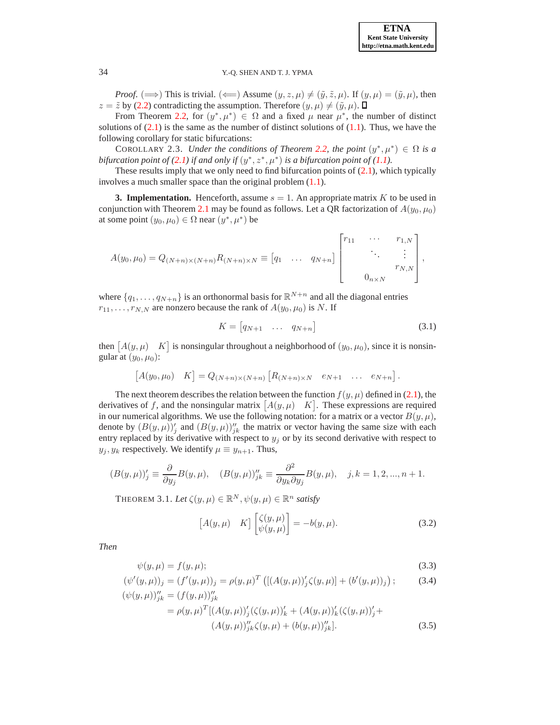

*Proof.* ( $\implies$ ) This is trivial. ( $\Longleftarrow$ ) Assume  $(y, z, \mu) \neq (\tilde{y}, \tilde{z}, \mu)$ . If  $(y, \mu) = (\tilde{y}, \mu)$ , then  $z = \tilde{z}$  by [\(2.2\)](#page-2-3) contradicting the assumption. Therefore  $(y, \mu) \neq (\tilde{y}, \mu)$ .

From Theorem [2.2,](#page-2-4) for  $(y^*, \mu^*) \in \Omega$  and a fixed  $\mu$  near  $\mu^*$ , the number of distinct solutions of  $(2.1)$  is the same as the number of distinct solutions of  $(1.1)$ . Thus, we have the following corollary for static bifurcations:

COROLLARY 2.3. *Under the conditions of Theorem [2.2,](#page-2-4) the point*  $(y^*, \mu^*) \in \Omega$  *is a bifurcation point of* [\(2.1\)](#page-2-2) *if and only if*  $(y^*, z^*, \mu^*)$  *is a bifurcation point of* [\(1.1\)](#page-0-0)*.* 

These results imply that we only need to find bifurcation points of  $(2.1)$ , which typically involves a much smaller space than the original problem [\(1.1\)](#page-0-0).

**3. Implementation.** Henceforth, assume  $s = 1$ . An appropriate matrix K to be used in conjunction with Theorem [2.1](#page-2-5) may be found as follows. Let a QR factorization of  $A(y_0, \mu_0)$ at some point  $(y_0, \mu_0) \in \Omega$  near  $(y^*, \mu^*)$  be

$$
A(y_0, \mu_0) = Q_{(N+n)\times(N+n)} R_{(N+n)\times N} \equiv [q_1 \quad \dots \quad q_{N+n}] \begin{bmatrix} r_{11} & \cdots & r_{1,N} \\ & \ddots & \vdots \\ & & r_{N,N} \\ & & & & r_{N,N} \end{bmatrix},
$$

where  $\{q_1, \ldots, q_{N+n}\}\$ is an orthonormal basis for  $\mathbb{R}^{N+n}$  and all the diagonal entries  $r_{11}, \ldots, r_{N,N}$  are nonzero because the rank of  $A(y_0, \mu_0)$  is N. If

<span id="page-3-4"></span>
$$
K = \begin{bmatrix} q_{N+1} & \dots & q_{N+n} \end{bmatrix} \tag{3.1}
$$

then  $[A(y, \mu) \quad K]$  is nonsingular throughout a neighborhood of  $(y_0, \mu_0)$ , since it is nonsingular at  $(y_0, \mu_0)$ :

$$
[A(y_0,\mu_0) \quad K] = Q_{(N+n)\times(N+n)} \left[ R_{(N+n)\times N} \quad e_{N+1} \quad \dots \quad e_{N+n} \right].
$$

The next theorem describes the relation between the function  $f(y, \mu)$  defined in [\(2.1\)](#page-2-2), the derivatives of f, and the nonsingular matrix  $[A(y, \mu)$  K. These expressions are required in our numerical algorithms. We use the following notation: for a matrix or a vector  $B(y, \mu)$ , denote by  $(B(y, \mu))'_{j}$  and  $(B(y, \mu))''_{jk}$  the matrix or vector having the same size with each entry replaced by its derivative with respect to  $y_j$  or by its second derivative with respect to  $y_j, y_k$  respectively. We identify  $\mu \equiv y_{n+1}$ . Thus,

$$
(B(y,\mu))'_j\equiv \frac{\partial}{\partial y_j}B(y,\mu),\quad (B(y,\mu))''_{jk}\equiv \frac{\partial^2}{\partial y_k\partial y_j}B(y,\mu),\quad j,k=1,2,...,n+1.
$$

THEOREM 3.1. Let  $\zeta(y,\mu) \in \mathbb{R}^N$ ,  $\psi(y,\mu) \in \mathbb{R}^n$  satisfy

<span id="page-3-3"></span><span id="page-3-2"></span><span id="page-3-1"></span><span id="page-3-0"></span>
$$
[A(y,\mu) \quad K] \begin{bmatrix} \zeta(y,\mu) \\ \psi(y,\mu) \end{bmatrix} = -b(y,\mu). \tag{3.2}
$$

*Then*

$$
\psi(y,\mu) = f(y,\mu); \tag{3.3}
$$

$$
(\psi'(y,\mu))_j = (f'(y,\mu))_j = \rho(y,\mu)^T \left( [(A(y,\mu))'_j \zeta(y,\mu)] + (b'(y,\mu))_j \right);
$$
\n
$$
(\psi(y,\mu))''_{jk} = (f(y,\mu))''_{jk}
$$
\n(3.4)

$$
\mu_{j} = \rho(y,\mu)^{T} [(A(y,\mu))'_{j}(\zeta(y,\mu))'_{k} + (A(y,\mu))'_{k}(\zeta(y,\mu))'_{j} +
$$
  

$$
(A(y,\mu))''_{jk}\zeta(y,\mu) + (b(y,\mu))''_{jk}].
$$
 (3.5)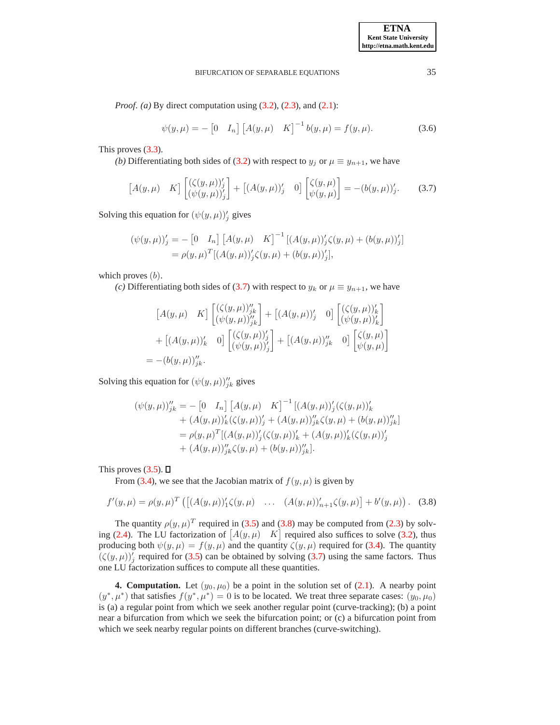*Proof. (a)* By direct computation using [\(3.2\)](#page-3-0), [\(2.3\)](#page-2-0), and [\(2.1\)](#page-2-2):

<span id="page-4-2"></span>
$$
\psi(y,\mu) = -\begin{bmatrix} 0 & I_n \end{bmatrix} \begin{bmatrix} A(y,\mu) & K \end{bmatrix}^{-1} b(y,\mu) = f(y,\mu). \tag{3.6}
$$

This proves [\(3.3\)](#page-3-1).

*(b)* Differentiating both sides of [\(3.2\)](#page-3-0) with respect to  $y_j$  or  $\mu \equiv y_{n+1}$ , we have

<span id="page-4-0"></span>
$$
\begin{bmatrix} A(y,\mu) & K \end{bmatrix} \begin{bmatrix} (\zeta(y,\mu))'_j \\ (\psi(y,\mu))'_j \end{bmatrix} + \begin{bmatrix} (A(y,\mu))'_j & 0 \end{bmatrix} \begin{bmatrix} \zeta(y,\mu) \\ \psi(y,\mu) \end{bmatrix} = -(b(y,\mu))'_j. \tag{3.7}
$$

Solving this equation for  $(\psi(y,\mu))'_{j}$  gives

$$
(\psi(y,\mu))'_j = -[0 I_n] [A(y,\mu) K]^{-1} [(A(y,\mu))'_j \zeta(y,\mu) + (b(y,\mu))'_j]
$$
  
=  $\rho(y,\mu)^T [(A(y,\mu))'_j \zeta(y,\mu) + (b(y,\mu))'_j],$ 

which proves  $(b)$ .

*(c)* Differentiating both sides of [\(3.7\)](#page-4-0) with respect to  $y_k$  or  $\mu \equiv y_{n+1}$ , we have

$$
[A(y,\mu) \quad K] \begin{bmatrix} (\zeta(y,\mu))''_{jk} \\ (\psi(y,\mu))''_{jk} \end{bmatrix} + [(A(y,\mu))'_{j} \quad 0] \begin{bmatrix} (\zeta(y,\mu))'_{k} \\ (\psi(y,\mu))'_{k} \end{bmatrix} + [(A(y,\mu))'_{k} \quad 0] \begin{bmatrix} (\zeta(y,\mu))'_{j} \\ (\psi(y,\mu))'_{j} \end{bmatrix} + [(A(y,\mu))''_{jk} \quad 0] \begin{bmatrix} \zeta(y,\mu) \\ \psi(y,\mu) \end{bmatrix} - (b(y,\mu))''_{jk}.
$$

Solving this equation for  $(\psi(y,\mu))''_{jk}$  gives

$$
(\psi(y,\mu))''_{jk} = -[0 \quad I_n] [A(y,\mu) \quad K]^{-1} [(A(y,\mu))'_j(\zeta(y,\mu))'_k + (A(y,\mu))'_k(\zeta(y,\mu))'_j + (A(y,\mu))''_{jk}\zeta(y,\mu) + (b(y,\mu))''_{jk}] = \rho(y,\mu)^T [(A(y,\mu))'_j(\zeta(y,\mu))'_k + (A(y,\mu))'_k(\zeta(y,\mu))'_j + (A(y,\mu))''_{jk}\zeta(y,\mu) + (b(y,\mu))''_{jk}].
$$

This proves  $(3.5)$ .  $\Box$ 

From [\(3.4\)](#page-3-3), we see that the Jacobian matrix of  $f(y, \mu)$  is given by

<span id="page-4-1"></span>
$$
f'(y,\mu) = \rho(y,\mu)^T \left( \left[ (A(y,\mu))_1' \zeta(y,\mu) \dots \left( (A(y,\mu))_{n+1}' \zeta(y,\mu) \right) + b'(y,\mu) \right] \right). \tag{3.8}
$$

The quantity  $\rho(y, \mu)^T$  required in [\(3.5\)](#page-3-2) and [\(3.8\)](#page-4-1) may be computed from [\(2.3\)](#page-2-0) by solv-ing [\(2.4\)](#page-2-1). The LU factorization of  $[A(y, \mu)$  K required also suffices to solve [\(3.2\)](#page-3-0), thus producing both  $\psi(y,\mu) = f(y,\mu)$  and the quantity  $\zeta(y,\mu)$  required for [\(3.4\)](#page-3-3). The quantity  $(\zeta(y,\mu))'_{j}$  required for [\(3.5\)](#page-3-2) can be obtained by solving [\(3.7\)](#page-4-0) using the same factors. Thus one LU factorization suffices to compute all these quantities.

**4. Computation.** Let  $(y_0, \mu_0)$  be a point in the solution set of  $(2.1)$ . A nearby point  $(y^*, \mu^*)$  that satisfies  $f(y^*, \mu^*) = 0$  is to be located. We treat three separate cases:  $(y_0, \mu_0)$ is (a) a regular point from which we seek another regular point (curve-tracking); (b) a point near a bifurcation from which we seek the bifurcation point; or (c) a bifurcation point from which we seek nearby regular points on different branches (curve-switching).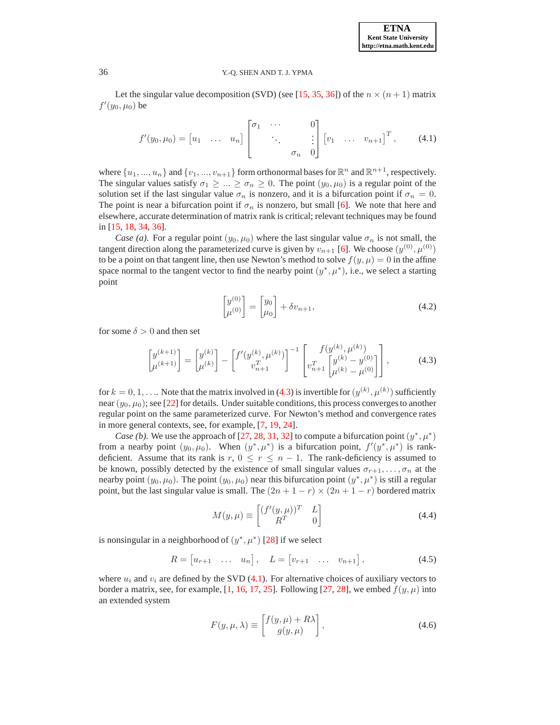Let the singular value decomposition (SVD) (see [\[15,](#page-12-17) [35,](#page-12-18) [36\]](#page-12-19)) of the  $n \times (n + 1)$  matrix  $f'(y_0, \mu_0)$  be

<span id="page-5-1"></span>
$$
f'(y_0,\mu_0) = \begin{bmatrix} u_1 & \dots & u_n \end{bmatrix} \begin{bmatrix} \sigma_1 & \cdots & 0 \\ & \ddots & \vdots \\ & & \sigma_n & 0 \end{bmatrix} \begin{bmatrix} v_1 & \dots & v_{n+1} \end{bmatrix}^T, \quad (4.1)
$$

where  $\{u_1, ..., u_n\}$  and  $\{v_1, ..., v_{n+1}\}$  form orthonormal bases for  $\mathbb{R}^n$  and  $\mathbb{R}^{n+1}$ , respectively. The singular values satisfy  $\sigma_1 \geq ... \geq \sigma_n \geq 0$ . The point  $(y_0, \mu_0)$  is a regular point of the solution set if the last singular value  $\sigma_n$  is nonzero, and it is a bifurcation point if  $\sigma_n = 0$ . The point is near a bifurcation point if  $\sigma_n$  is nonzero, but small [\[6\]](#page-11-0). We note that here and elsewhere, accurate determination of matrix rank is critical; relevant techniques may be found in [\[15,](#page-12-17) [18,](#page-12-20) [34,](#page-12-21) [36\]](#page-12-19).

*Case (a).* For a regular point  $(y_0, \mu_0)$  where the last singular value  $\sigma_n$  is not small, the tangent direction along the parameterized curve is given by  $v_{n+1}$  [\[6\]](#page-11-0). We choose  $(y^{(0)}, \mu^{(0)})$ to be a point on that tangent line, then use Newton's method to solve  $f(y, \mu) = 0$  in the affine space normal to the tangent vector to find the nearby point  $(y^*, \mu^*)$ , i.e., we select a starting point

<span id="page-5-3"></span>
$$
\begin{bmatrix} y^{(0)} \\ \mu^{(0)} \end{bmatrix} = \begin{bmatrix} y_0 \\ \mu_0 \end{bmatrix} + \delta v_{n+1},\tag{4.2}
$$

for some  $\delta > 0$  and then set

<span id="page-5-0"></span>
$$
\begin{bmatrix} y^{(k+1)} \\ \mu^{(k+1)} \end{bmatrix} = \begin{bmatrix} y^{(k)} \\ \mu^{(k)} \end{bmatrix} - \begin{bmatrix} f'(y^{(k)}, \mu^{(k)}) \\ v_{n+1}^T \end{bmatrix}^{-1} \begin{bmatrix} f(y^{(k)}, \mu^{(k)}) \\ v_{n+1}^T \begin{bmatrix} y^{(k)} - y^{(0)} \\ \mu^{(k)} - \mu^{(0)} \end{bmatrix},
$$
(4.3)

for  $k = 0, 1, \ldots$  Note that the matrix involved in [\(4.3\)](#page-5-0) is invertible for  $(y^{(k)}, \mu^{(k)})$  sufficiently near  $(y_0, \mu_0)$ ; see [\[22\]](#page-12-22) for details. Under suitable conditions, this process converges to another regular point on the same parameterized curve. For Newton's method and convergence rates in more general contexts, see, for example, [\[7,](#page-11-5) [19,](#page-12-23) [24\]](#page-12-24).

*Case (b).* We use the approach of [\[27,](#page-12-10) [28,](#page-12-11) [31,](#page-12-25) [32\]](#page-12-12) to compute a bifurcation point  $(y^*, \mu^*)$ from a nearby point  $(y_0, \mu_0)$ . When  $(y^*, \mu^*)$  is a bifurcation point,  $f'(y^*, \mu^*)$  is rankdeficient. Assume that its rank is  $r, 0 \le r \le n - 1$ . The rank-deficiency is assumed to be known, possibly detected by the existence of small singular values  $\sigma_{r+1}, \ldots, \sigma_n$  at the nearby point  $(y_0, \mu_0)$ . The point  $(y_0, \mu_0)$  near this bifurcation point  $(y^*, \mu^*)$  is still a regular point, but the last singular value is small. The  $(2n + 1 - r) \times (2n + 1 - r)$  bordered matrix

<span id="page-5-5"></span>
$$
M(y,\mu) \equiv \begin{bmatrix} (f'(y,\mu))^T & L \\ R^T & 0 \end{bmatrix}
$$
 (4.4)

is nonsingular in a neighborhood of  $(y^*, \mu^*)$  [\[28\]](#page-12-11) if we select

<span id="page-5-4"></span>
$$
R = \begin{bmatrix} u_{r+1} & \dots & u_n \end{bmatrix}, \quad L = \begin{bmatrix} v_{r+1} & \dots & v_{n+1} \end{bmatrix}, \tag{4.5}
$$

where  $u_i$  and  $v_i$  are defined by the SVD [\(4.1\)](#page-5-1). For alternative choices of auxiliary vectors to border a matrix, see, for example, [\[1,](#page-11-6) [16,](#page-12-14) [17,](#page-12-26) [25\]](#page-12-27). Following [\[27,](#page-12-10) [28\]](#page-12-11), we embed  $f(y, \mu)$  into an extended system

<span id="page-5-2"></span>
$$
F(y, \mu, \lambda) \equiv \begin{bmatrix} f(y, \mu) + R\lambda \\ g(y, \mu) \end{bmatrix},
$$
\n(4.6)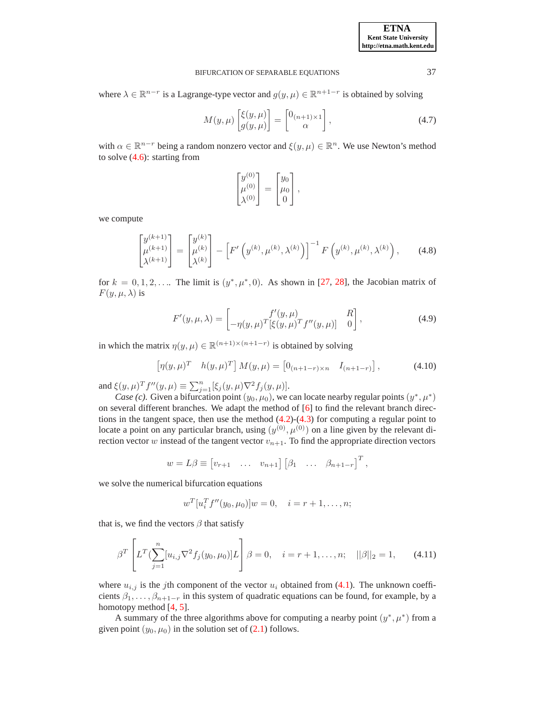where  $\lambda \in \mathbb{R}^{n-r}$  is a Lagrange-type vector and  $g(y,\mu) \in \mathbb{R}^{n+1-r}$  is obtained by solving

$$
M(y,\mu)\begin{bmatrix} \xi(y,\mu) \\ g(y,\mu) \end{bmatrix} = \begin{bmatrix} 0_{(n+1)\times 1} \\ \alpha \end{bmatrix},
$$
\n(4.7)

with  $\alpha \in \mathbb{R}^{n-r}$  being a random nonzero vector and  $\xi(y,\mu) \in \mathbb{R}^n$ . We use Newton's method to solve [\(4.6\)](#page-5-2): starting from

$$
\begin{bmatrix} y^{(0)} \\ \mu^{(0)} \\ \lambda^{(0)} \end{bmatrix} = \begin{bmatrix} y_0 \\ \mu_0 \\ 0 \end{bmatrix},
$$

we compute

<span id="page-6-1"></span>
$$
\begin{bmatrix} y^{(k+1)} \\ \mu^{(k+1)} \\ \lambda^{(k+1)} \end{bmatrix} = \begin{bmatrix} y^{(k)} \\ \mu^{(k)} \\ \lambda^{(k)} \end{bmatrix} - \left[ F' \left( y^{(k)}, \mu^{(k)}, \lambda^{(k)} \right) \right]^{-1} F \left( y^{(k)}, \mu^{(k)}, \lambda^{(k)} \right), \tag{4.8}
$$

for  $k = 0, 1, 2, \ldots$  The limit is  $(y^*, \mu^*, 0)$ . As shown in [\[27,](#page-12-10) [28\]](#page-12-11), the Jacobian matrix of  $F(y, \mu, \lambda)$  is

$$
F'(y, \mu, \lambda) = \begin{bmatrix} f'(y, \mu) & R \\ -\eta(y, \mu)^T [\xi(y, \mu)^T f''(y, \mu)] & 0 \end{bmatrix},
$$
\n(4.9)

in which the matrix  $\eta(y,\mu) \in \mathbb{R}^{(n+1)\times (n+1-r)}$  is obtained by solving

<span id="page-6-0"></span>
$$
\left[\eta(y,\mu)^T \quad h(y,\mu)^T\right] M(y,\mu) = \left[0_{(n+1-r)\times n} \quad I_{(n+1-r)}\right],\tag{4.10}
$$

and  $\xi(y, \mu)^T f''(y, \mu) \equiv \sum_{j=1}^n [\xi_j(y, \mu) \nabla^2 f_j(y, \mu)].$ 

*Case (c).* Given a bifurcation point  $(y_0, \mu_0)$ , we can locate nearby regular points  $(y^*, \mu^*)$ on several different branches. We adapt the method of [\[6\]](#page-11-0) to find the relevant branch directions in the tangent space, then use the method  $(4.2)-(4.3)$  $(4.2)-(4.3)$  for computing a regular point to locate a point on any particular branch, using  $(y^{(0)}, \mu^{(0)})$  on a line given by the relevant direction vector w instead of the tangent vector  $v_{n+1}$ . To find the appropriate direction vectors

$$
w = L\beta \equiv \begin{bmatrix} v_{r+1} & \dots & v_{n+1} \end{bmatrix} \begin{bmatrix} \beta_1 & \dots & \beta_{n+1-r} \end{bmatrix}^T,
$$

we solve the numerical bifurcation equations

$$
w^{T}[u_i^{T}f''(y_0,\mu_0)]w=0, \quad i=r+1,\ldots,n;
$$

that is, we find the vectors  $\beta$  that satisfy

<span id="page-6-2"></span>
$$
\beta^T \left[ L^T \left( \sum_{j=1}^n [u_{i,j} \nabla^2 f_j(y_0, \mu_0)] L \right] \beta = 0, \quad i = r+1, \dots, n; \quad ||\beta||_2 = 1, \tag{4.11}
$$

where  $u_{i,j}$  is the jth component of the vector  $u_i$  obtained from [\(4.1\)](#page-5-1). The unknown coefficients  $\beta_1, \ldots, \beta_{n+1-r}$  in this system of quadratic equations can be found, for example, by a homotopy method [\[4,](#page-11-7) [5\]](#page-11-8).

A summary of the three algorithms above for computing a nearby point  $(y^*, \mu^*)$  from a given point  $(y_0, \mu_0)$  in the solution set of  $(2.1)$  follows.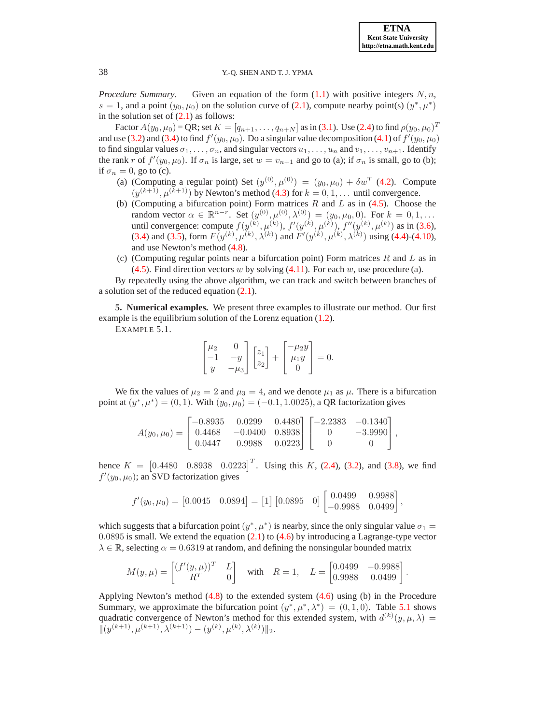.

## 38 Y.-Q. SHEN AND T. J. YPMA

*Procedure Summary.* Given an equation of the form  $(1.1)$  with positive integers  $N, n$ , s = 1, and a point  $(y_0, \mu_0)$  on the solution curve of [\(2.1\)](#page-2-2), compute nearby point(s)  $(y^*, \mu^*)$ in the solution set of  $(2.1)$  as follows:

Factor  $A(y_0, \mu_0)$  = QR; set  $K = [q_{n+1}, \ldots, q_{n+N}]$  as in [\(3.1\)](#page-3-4). Use [\(2.4\)](#page-2-1) to find  $\rho(y_0, \mu_0)^T$ and use [\(3.2\)](#page-3-0) and [\(3.4\)](#page-3-3) to find  $f'(y_0, \mu_0)$ . Do a singular value decomposition [\(4.1\)](#page-5-1) of  $f'(y_0, \mu_0)$ to find singular values  $\sigma_1, \ldots, \sigma_n$ , and singular vectors  $u_1, \ldots, u_n$  and  $v_1, \ldots, v_{n+1}$ . Identify the rank r of  $f'(y_0, \mu_0)$ . If  $\sigma_n$  is large, set  $w = v_{n+1}$  and go to (a); if  $\sigma_n$  is small, go to (b); if  $\sigma_n = 0$ , go to (c).

- (a) (Computing a regular point) Set  $(y^{(0)}, \mu^{(0)}) = (y_0, \mu_0) + \delta w^T$  [\(4.2\)](#page-5-3). Compute  $(y^{(k+1)}, \mu^{(k+1)})$  by Newton's method [\(4.3\)](#page-5-0) for  $k = 0, 1, \dots$  until convergence.
- (b) (Computing a bifurcation point) Form matrices  $R$  and  $L$  as in [\(4.5\)](#page-5-4). Choose the random vector  $\alpha \in \mathbb{R}^{n-r}$ . Set  $(y^{(0)}, \mu^{(0)}, \lambda^{(0)}) = (y_0, \mu_0, 0)$ . For  $k = 0, 1, ...$ until convergence: compute  $f(y^{(k)}, \mu^{(k)})$ ,  $f'(y^{(k)}, \mu^{(k)})$ ,  $f''(y^{(k)}, \mu^{(k)})$  as in [\(3.6\)](#page-4-2), [\(3.4\)](#page-3-3) and [\(3.5\)](#page-3-2), form  $F(y^{(k)}, \mu^{(k)}, \lambda^{(k)})$  and  $F'(y^{(k)}, \mu^{(k)}, \lambda^{(k)})$  using [\(4.4\)](#page-5-5)-[\(4.10\)](#page-6-0), and use Newton's method [\(4.8\)](#page-6-1).
- (c) (Computing regular points near a bifurcation point) Form matrices  $R$  and  $L$  as in [\(4.5\)](#page-5-4). Find direction vectors w by solving  $(4.11)$ . For each w, use procedure (a).

By repeatedly using the above algorithm, we can track and switch between branches of a solution set of the reduced equation [\(2.1\)](#page-2-2).

<span id="page-7-0"></span>**5. Numerical examples.** We present three examples to illustrate our method. Our first example is the equilibrium solution of the Lorenz equation [\(1.2\)](#page-0-1).

EXAMPLE 5.1.

$$
\begin{bmatrix} \mu_2 & 0 \\ -1 & -y \\ y & -\mu_3 \end{bmatrix} \begin{bmatrix} z_1 \\ z_2 \end{bmatrix} + \begin{bmatrix} -\mu_2 y \\ \mu_1 y \\ 0 \end{bmatrix} = 0.
$$

We fix the values of  $\mu_2 = 2$  and  $\mu_3 = 4$ , and we denote  $\mu_1$  as  $\mu$ . There is a bifurcation point at  $(y^*, \mu^*) = (0, 1)$ . With  $(y_0, \mu_0) = (-0.1, 1.0025)$ , a QR factorization gives

$$
A(y_0, \mu_0) = \begin{bmatrix} -0.8935 & 0.0299 & 0.4480 \\ 0.4468 & -0.0400 & 0.8938 \\ 0.0447 & 0.9988 & 0.0223 \end{bmatrix} \begin{bmatrix} -2.2383 & -0.1340 \\ 0 & -3.9990 \\ 0 & 0 \end{bmatrix},
$$

hence  $K = \begin{bmatrix} 0.4480 & 0.8938 & 0.0223 \end{bmatrix}^T$ . Using this K, [\(2.4\)](#page-2-1), [\(3.2\)](#page-3-0), and [\(3.8\)](#page-4-1), we find  $f'(y_0, \mu_0)$ ; an SVD factorization gives

$$
f'(y_0, \mu_0) = [0.0045 \quad 0.0894] = [1] [0.0895 \quad 0] \begin{bmatrix} 0.0499 & 0.9988 \\ -0.9988 & 0.0499 \end{bmatrix},
$$

which suggests that a bifurcation point  $(y^*, \mu^*)$  is nearby, since the only singular value  $\sigma_1 =$ 0.0895 is small. We extend the equation [\(2.1\)](#page-2-2) to [\(4.6\)](#page-5-2) by introducing a Lagrange-type vector  $\lambda \in \mathbb{R}$ , selecting  $\alpha = 0.6319$  at random, and defining the nonsingular bounded matrix

$$
M(y,\mu) = \begin{bmatrix} (f'(y,\mu))^T & L \\ R^T & 0 \end{bmatrix} \text{ with } R = 1, L = \begin{bmatrix} 0.0499 & -0.9988 \\ 0.9988 & 0.0499 \end{bmatrix}
$$

Applying Newton's method [\(4.8\)](#page-6-1) to the extended system [\(4.6\)](#page-5-2) using (b) in the Procedure Summary, we approximate the bifurcation point  $(y^*, \mu^*, \lambda^*) = (0, 1, 0)$ . Table [5.1](#page-8-0) shows quadratic convergence of Newton's method for this extended system, with  $d^{(k)}(y,\mu,\lambda) =$  $||(y^{(k+1)}, \mu^{(k+1)}, \lambda^{(k+1)}) - (y^{(k)}, \mu^{(k)}, \lambda^{(k)})||_2.$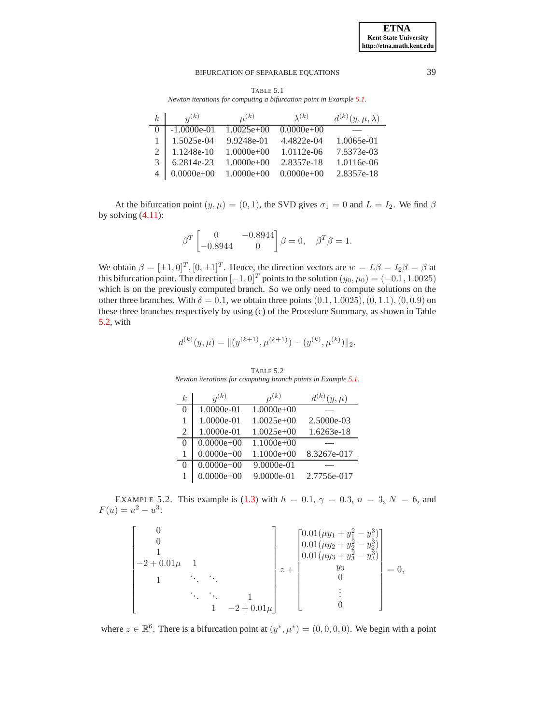<span id="page-8-0"></span>TABLE 5.1 *Newton iterations for computing a bifurcation point in Example [5.1.](#page-7-0)*

| k <sub>i</sub> | n(k)          | $\mu^{(k)}$  | $\lambda(k)$ | $d^{(k)}(y,\mu,\lambda)$ |
|----------------|---------------|--------------|--------------|--------------------------|
|                | $-1.0000e-01$ | $1.0025e+00$ | $0.0000e+00$ |                          |
|                | 1.5025e-04    | 9.9248e-01   | 4.4822e-04   | 1.0065e-01               |
|                | 1.1248e-10    | $1.0000e+00$ | 1.0112e-06   | 7.5373e-03               |
|                | 6.2814e-23    | $1.0000e+00$ | 2.8357e-18   | 1.0116e-06               |
|                | $0.0000e+00$  | $1.0000e+00$ | $0.0000e+00$ | 2.8357e-18               |

At the bifurcation point  $(y, \mu) = (0, 1)$ , the SVD gives  $\sigma_1 = 0$  and  $L = I_2$ . We find  $\beta$ by solving  $(4.11)$ :

$$
\beta^T \begin{bmatrix} 0 & -0.8944 \\ -0.8944 & 0 \end{bmatrix} \beta = 0, \quad \beta^T \beta = 1.
$$

We obtain  $\beta = [\pm 1, 0]^T$ ,  $[0, \pm 1]^T$ . Hence, the direction vectors are  $w = L\beta = I_2\beta = \beta$  at this bifurcation point. The direction  $[-1, 0]^T$  points to the solution  $(y_0, \mu_0) = (-0.1, 1.0025)$ which is on the previously computed branch. So we only need to compute solutions on the other three branches. With  $\delta = 0.1$ , we obtain three points  $(0.1, 1.0025), (0, 1.1), (0, 0.9)$  on these three branches respectively by using (c) of the Procedure Summary, as shown in Table [5.2,](#page-8-1) with

$$
d^{(k)}(y,\mu) = \|(y^{(k+1)}, \mu^{(k+1)}) - (y^{(k)}, \mu^{(k)})\|_2.
$$

<span id="page-8-1"></span>k  $y^{(k)}$   $\mu$  $\mu^{(k)}$  $\mathbf{y}^{(k)}(y,\mu)$ 0 1.0000e-01 1.0000e+00 1 1.0000e-01 1.0025e+00 2.5000e-03 2 1.0000e-01 1.0025e+00 1.6263e-18  $0 \mid 0.0000e+00 \mid 1.1000e+00$ 1 0.0000e+00 1.1000e+00 8.3267e-017  $0 \mid 0.0000e+00 \mid 9.0000e-01$ 1 0.0000e+00 9.0000e-01 2.7756e-017

TABLE 5.2 *Newton iterations for computing branch points in Example [5.1.](#page-7-0)*

<span id="page-8-2"></span>EXAMPLE 5.2. This example is [\(1.3\)](#page-0-2) with  $h = 0.1$ ,  $\gamma = 0.3$ ,  $n = 3$ ,  $N = 6$ , and  $F(u) = u^2 - u^3$ :

$$
\begin{bmatrix}\n0 \\
0 \\
1 \\
-2+0.01\mu & 1 \\
1 & \ddots & \ddots \\
& 1 & -2+0.01\mu\n\end{bmatrix}\n\begin{bmatrix}\n0.01(\mu y_1 + y_1^2 - y_1^3) \\
0.01(\mu y_2 + y_2^2 - y_2^3) \\
0.01(\mu y_3 + y_3^2 - y_3^3) \\
y_3 & 0 \\
& 0 \\
& & \vdots \\
& & 0\n\end{bmatrix} = 0,
$$

where  $z \in \mathbb{R}^6$ . There is a bifurcation point at  $(y^*, \mu^*) = (0, 0, 0, 0)$ . We begin with a point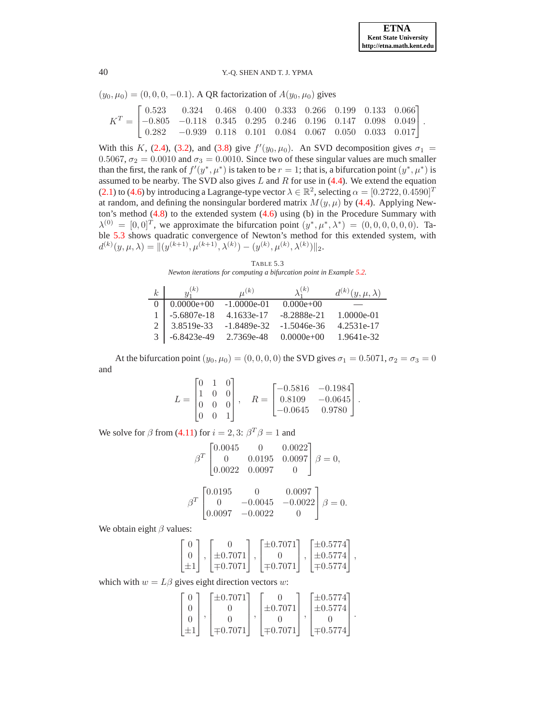$$
(y_0, \mu_0) = (0, 0, 0, -0.1)
$$
. A QR factorization of  $A(y_0, \mu_0)$  gives

$$
K^T = \begin{bmatrix} 0.523 & 0.324 & 0.468 & 0.400 & 0.333 & 0.266 & 0.199 & 0.133 & 0.066 \\ -0.805 & -0.118 & 0.345 & 0.295 & 0.246 & 0.196 & 0.147 & 0.098 & 0.049 \\ 0.282 & -0.939 & 0.118 & 0.101 & 0.084 & 0.067 & 0.050 & 0.033 & 0.017 \end{bmatrix}.
$$

With this K, [\(2.4\)](#page-2-1), [\(3.2\)](#page-3-0), and [\(3.8\)](#page-4-1) give  $f'(y_0, \mu_0)$ . An SVD decomposition gives  $\sigma_1$  = 0.5067,  $\sigma_2 = 0.0010$  and  $\sigma_3 = 0.0010$ . Since two of these singular values are much smaller than the first, the rank of  $f'(y^*, \mu^*)$  is taken to be  $r = 1$ ; that is, a bifurcation point  $(y^*, \mu^*)$  is assumed to be nearby. The SVD also gives  $L$  and  $R$  for use in [\(4.4\)](#page-5-5). We extend the equation [\(2.1\)](#page-2-2) to [\(4.6\)](#page-5-2) by introducing a Lagrange-type vector  $\lambda \in \mathbb{R}^2$ , selecting  $\alpha = [0.2722, 0.4590]^T$ at random, and defining the nonsingular bordered matrix  $M(y, \mu)$  by [\(4.4\)](#page-5-5). Applying Newton's method  $(4.8)$  to the extended system  $(4.6)$  using (b) in the Procedure Summary with  $\lambda^{(0)} = [0,0]^T$ , we approximate the bifurcation point  $(y^*, \mu^*, \lambda^*) = (0,0,0,0,0,0)$ . Ta-ble [5.3](#page-9-0) shows quadratic convergence of Newton's method for this extended system, with  $d^{(k)}(y,\mu,\lambda) = \|(y^{(k+1)},\mu^{(k+1)},\lambda^{(k)}) - (y^{(k)},\mu^{(k)},\lambda^{(k)})\|_2.$ 

<span id="page-9-0"></span>TABLE 5.3 *Newton iterations for computing a bifurcation point in Example [5.2.](#page-8-2)*

| k | $u_1^{(k)}$   | $\mu^{(k)}$   | $\lambda_1^{(k)}$ | $d^{(k)}(y,\mu,\lambda)$ |
|---|---------------|---------------|-------------------|--------------------------|
|   | $0.0000e+00$  | $-1.0000e-01$ | $0.000e+00$       |                          |
|   | $-5.6807e-18$ | 4.1633e-17    | $-8.2888e-21$     | 1.0000e-01               |
|   | 3.8519e-33    | $-1.8489e-32$ | $-1.5046e-36$     | 4.2531e-17               |
|   | $-6.8423e-49$ | 2.7369e-48    | $0.0000e+00$      | 1.9641e-32               |

At the bifurcation point  $(y_0, \mu_0) = (0, 0, 0, 0)$  the SVD gives  $\sigma_1 = 0.5071$ ,  $\sigma_2 = \sigma_3 = 0$ and

$$
L = \begin{bmatrix} 0 & 1 & 0 \\ 1 & 0 & 0 \\ 0 & 0 & 0 \\ 0 & 0 & 1 \end{bmatrix}, \quad R = \begin{bmatrix} -0.5816 & -0.1984 \\ 0.8109 & -0.0645 \\ -0.0645 & 0.9780 \end{bmatrix}.
$$

We solve for  $\beta$  from [\(4.11\)](#page-6-2) for  $i = 2, 3$ :  $\beta^T \beta = 1$  and

$$
\beta^T \begin{bmatrix} 0.0045 & 0 & 0.0022 \\ 0 & 0.0195 & 0.0097 \\ 0.0022 & 0.0097 & 0 \end{bmatrix} \beta = 0,
$$

$$
\beta^T \begin{bmatrix} 0.0195 & 0 & 0.0097 \\ 0 & -0.0045 & -0.0022 \\ 0.0097 & -0.0022 & 0 \end{bmatrix} \beta = 0.
$$

We obtain eight  $\beta$  values:

|           |              | $ \pm 0.7071]$ | $\pm 0.5774$     |  |
|-----------|--------------|----------------|------------------|--|
|           | $\pm 0.7071$ |                | $ \pm 0.5774 $ , |  |
| $ \pm 1 $ | $\mp 0.7071$ | $\pm 0.7071$   | $ \mp 0.5774 $   |  |

which with  $w = L\beta$  gives eight direction vectors w:

|  | $\lceil \pm 0.7071 \rceil$ |              | $[\pm 0.5774]$ |  |
|--|----------------------------|--------------|----------------|--|
|  |                            | $\pm 0.7071$ | $\pm 0.5774$   |  |
|  |                            |              |                |  |
|  | $\equiv 0.7071$            | $\mp 0.7071$ | $ \mp 0.5774 $ |  |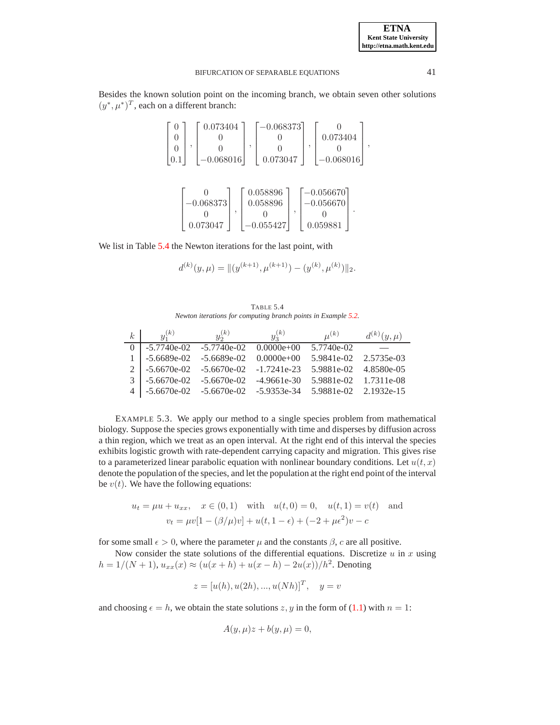Besides the known solution point on the incoming branch, we obtain seven other solutions  $(y^*, \mu^*)^T$ , each on a different branch:

|  | 0.073404    | $-0.068373$ |             |  |
|--|-------------|-------------|-------------|--|
|  |             |             | 0.073404    |  |
|  |             |             |             |  |
|  | $-0.068016$ | 0.073047    | $-0.068016$ |  |

|             | 0.058896    | $-0.056670$ |  |
|-------------|-------------|-------------|--|
| $-0.068373$ | 0.058896    | $-0.056670$ |  |
|             |             |             |  |
| 0.073047    | $-0.055427$ | 0.059881    |  |

We list in Table [5.4](#page-10-0) the Newton iterations for the last point, with

$$
d^{(k)}(y,\mu) = \|(y^{(k+1)}, \mu^{(k+1)}) - (y^{(k)}, \mu^{(k)})\|_2.
$$

<span id="page-10-0"></span>TABLE 5.4 *Newton iterations for computing branch points in Example [5.2.](#page-8-2)*

| k | $u_1^{(k)}$                                                       | $y_2^{(k)}$                              | $y_3^{(k)}$ | $\mu^{(k)}$           | $d^{(k)}(y,\mu)$ |
|---|-------------------------------------------------------------------|------------------------------------------|-------------|-----------------------|------------------|
|   |                                                                   | $-5.7740e-02$ $-5.7740e-02$ $0.0000e+00$ |             | 5.7740e-02            |                  |
|   |                                                                   | $-5.6689e-02$ $-5.6689e-02$ $0.0000e+00$ |             | 5.9841e-02 2.5735e-03 |                  |
|   | $2 \mid -5.6670e-02 \quad -5.6670e-02 \quad -1.7241e-23$          |                                          |             | 5.9881e-02 4.8580e-05 |                  |
|   | $-5.6670e-02 -5.6670e-02$                                         |                                          | -4.9661e-30 | 5.9881e-02 1.7311e-08 |                  |
|   | 4   -5.6670e-02  -5.6670e-02  -5.9353e-34  5.9881e-02  2.1932e-15 |                                          |             |                       |                  |

<span id="page-10-1"></span>EXAMPLE 5.3. We apply our method to a single species problem from mathematical biology. Suppose the species grows exponentially with time and disperses by diffusion across a thin region, which we treat as an open interval. At the right end of this interval the species exhibits logistic growth with rate-dependent carrying capacity and migration. This gives rise to a parameterized linear parabolic equation with nonlinear boundary conditions. Let  $u(t, x)$ denote the population of the species, and let the population at the right end point of the interval be  $v(t)$ . We have the following equations:

$$
u_t = \mu u + u_{xx}, \quad x \in (0, 1) \quad \text{with} \quad u(t, 0) = 0, \quad u(t, 1) = v(t) \quad \text{and}
$$

$$
v_t = \mu v [1 - (\beta/\mu)v] + u(t, 1 - \epsilon) + (-2 + \mu \epsilon^2)v - c
$$

for some small  $\epsilon > 0$ , where the parameter  $\mu$  and the constants  $\beta$ , c are all positive.

Now consider the state solutions of the differential equations. Discretize  $u$  in  $x$  using  $h = 1/(N + 1), u_{xx}(x) \approx (u(x + h) + u(x - h) - 2u(x))/h^2$ . Denoting

$$
z = [u(h), u(2h), ..., u(Nh)]^T
$$
,  $y = v$ 

and choosing  $\epsilon = h$ , we obtain the state solutions z, y in the form of [\(1.1\)](#page-0-0) with  $n = 1$ :

$$
A(y, \mu)z + b(y, \mu) = 0,
$$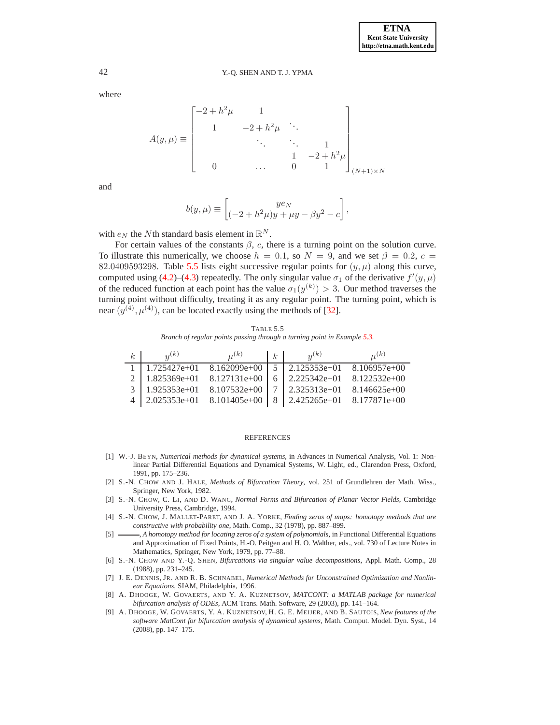where

$$
A(y,\mu) \equiv \begin{bmatrix} -2 + h^2 \mu & 1 & & \\ 1 & -2 + h^2 \mu & \ddots & \\ & \ddots & \ddots & 1 \\ & & 1 & -2 + h^2 \mu \\ 0 & \dots & 0 & 1 \end{bmatrix}_{(N+1)\times N}
$$

and

$$
b(y,\mu) \equiv \begin{bmatrix} ye_N \\ (-2+h^2\mu)y + \mu y - \beta y^2 - c \end{bmatrix},
$$

with  $e_N$  the Nth standard basis element in  $\mathbb{R}^N$ .

For certain values of the constants  $\beta$ , c, there is a turning point on the solution curve. To illustrate this numerically, we choose  $h = 0.1$ , so  $N = 9$ , and we set  $\beta = 0.2$ ,  $c =$ 82.0409593298. Table [5.5](#page-11-9) lists eight successive regular points for  $(y, \mu)$  along this curve, computed using [\(4.2\)](#page-5-3)–[\(4.3\)](#page-5-0) repeatedly. The only singular value  $\sigma_1$  of the derivative  $f'(y,\mu)$ of the reduced function at each point has the value  $\sigma_1(y^{(k)}) > 3$ . Our method traverses the turning point without difficulty, treating it as any regular point. The turning point, which is near  $(y^{(4)}, \mu^{(4)})$ , can be located exactly using the methods of [\[32\]](#page-12-12).

<span id="page-11-9"></span>TABLE 5.5 *Branch of regular points passing through a turning point in Example [5.3.](#page-10-1)*

| $k_{\cdot}$ | n(k)                                     | $U^{(k)}$ | $k_{\perp}$ | $u^{(k)}$                                                                  | $U^{(k)}$ |
|-------------|------------------------------------------|-----------|-------------|----------------------------------------------------------------------------|-----------|
|             |                                          |           |             | $1.725427e+01$ $8.162099e+00$ $\overline{5}$ $2.125353e+01$ $8.106957e+00$ |           |
|             | 2   $1.825369e+01$ $8.127131e+00$        |           |             | $6 \mid 2.225342e+01 \quad 8.122532e+00$                                   |           |
|             | $3 \mid 1.925353e+01 \quad 8.107532e+00$ |           |             | 7 2.325313e+01 8.146625e+00                                                |           |
|             |                                          |           |             | $4$   2.025353e+01 8.101405e+00   8   2.425265e+01 8.177871e+00            |           |

#### REFERENCES

- <span id="page-11-6"></span>[1] W.-J. BEYN, *Numerical methods for dynamical systems*, in Advances in Numerical Analysis, Vol. 1: Nonlinear Partial Differential Equations and Dynamical Systems, W. Light, ed., Clarendon Press, Oxford, 1991, pp. 175–236.
- <span id="page-11-3"></span>[2] S.-N. CHOW AND J. HALE, *Methods of Bifurcation Theory*, vol. 251 of Grundlehren der Math. Wiss., Springer, New York, 1982.
- <span id="page-11-4"></span>[3] S.-N. CHOW, C. LI, AND D. WANG, *Normal Forms and Bifurcation of Planar Vector Fields*, Cambridge University Press, Cambridge, 1994.
- <span id="page-11-7"></span>[4] S.-N. CHOW, J. MALLET-PARET, AND J. A. YORKE, *Finding zeros of maps: homotopy methods that are constructive with probability one*, Math. Comp., 32 (1978), pp. 887–899.
- <span id="page-11-8"></span>[5] , *A homotopy method for locating zeros of a system of polynomials*, in Functional Differential Equations and Approximation of Fixed Points, H.-O. Peitgen and H. O. Walther, eds., vol. 730 of Lecture Notes in Mathematics, Springer, New York, 1979, pp. 77–88.
- <span id="page-11-0"></span>[6] S.-N. CHOW AND Y.-Q. SHEN, *Bifurcations via singular value decompositions*, Appl. Math. Comp., 28 (1988), pp. 231–245.
- <span id="page-11-5"></span>[7] J. E. DENNIS, JR. AND R. B. SCHNABEL, *Numerical Methods for Unconstrained Optimization and Nonlinear Equations*, SIAM, Philadelphia, 1996.
- <span id="page-11-1"></span>[8] A. DHOOGE, W. GOVAERTS, AND Y. A. KUZNETSOV, *MATCONT: a MATLAB package for numerical bifurcation analysis of ODEs*, ACM Trans. Math. Software, 29 (2003), pp. 141–164.
- <span id="page-11-2"></span>[9] A. DHOOGE, W. GOVAERTS, Y. A. KUZNETSOV, H. G. E. MEIJER, AND B. SAUTOIS, *New features of the software MatCont for bifurcation analysis of dynamical systems*, Math. Comput. Model. Dyn. Syst., 14 (2008), pp. 147–175.